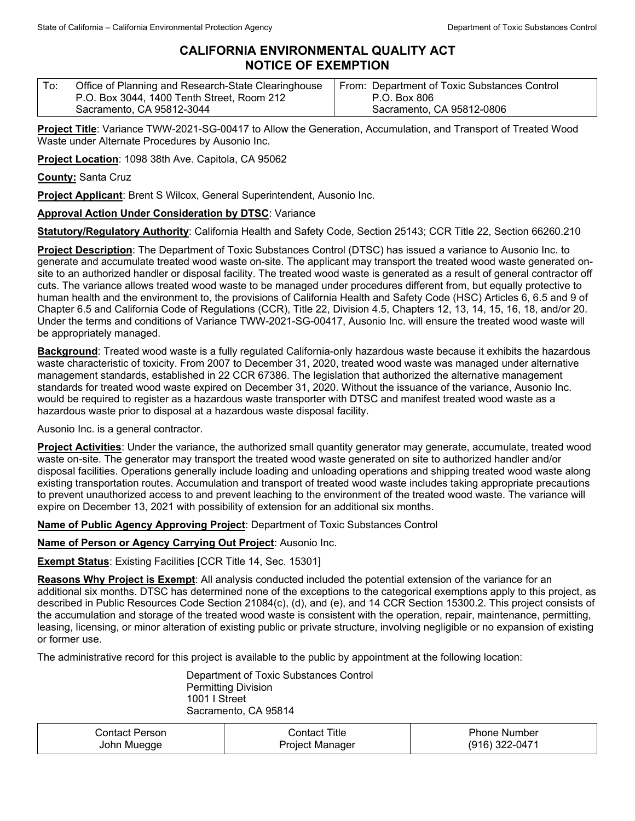## **CALIFORNIA ENVIRONMENTAL QUALITY ACT NOTICE OF EXEMPTION**

| Office of Planning and Research-State Clearinghouse | From: Department of Toxic Substances Control |
|-----------------------------------------------------|----------------------------------------------|
| P.O. Box 3044, 1400 Tenth Street, Room 212          | P.O. Box 806                                 |
| Sacramento, CA 95812-3044                           | Sacramento, CA 95812-0806                    |

**Project Title**: Variance TWW-2021-SG-00417 to Allow the Generation, Accumulation, and Transport of Treated Wood Waste under Alternate Procedures by Ausonio Inc.

**Project Location**: 1098 38th Ave. Capitola, CA 95062

**County:** Santa Cruz

**Project Applicant**: Brent S Wilcox, General Superintendent, Ausonio Inc.

## **Approval Action Under Consideration by DTSC**: Variance

**Statutory/Regulatory Authority**: California Health and Safety Code, Section 25143; CCR Title 22, Section 66260.210

**Project Description**: The Department of Toxic Substances Control (DTSC) has issued a variance to Ausonio Inc. to generate and accumulate treated wood waste on-site. The applicant may transport the treated wood waste generated onsite to an authorized handler or disposal facility. The treated wood waste is generated as a result of general contractor off cuts. The variance allows treated wood waste to be managed under procedures different from, but equally protective to human health and the environment to, the provisions of California Health and Safety Code (HSC) Articles 6, 6.5 and 9 of Chapter 6.5 and California Code of Regulations (CCR), Title 22, Division 4.5, Chapters 12, 13, 14, 15, 16, 18, and/or 20. Under the terms and conditions of Variance TWW-2021-SG-00417, Ausonio Inc. will ensure the treated wood waste will be appropriately managed.

**Background**: Treated wood waste is a fully regulated California-only hazardous waste because it exhibits the hazardous waste characteristic of toxicity. From 2007 to December 31, 2020, treated wood waste was managed under alternative management standards, established in 22 CCR 67386. The legislation that authorized the alternative management standards for treated wood waste expired on December 31, 2020. Without the issuance of the variance, Ausonio Inc. would be required to register as a hazardous waste transporter with DTSC and manifest treated wood waste as a hazardous waste prior to disposal at a hazardous waste disposal facility.

Ausonio Inc. is a general contractor.

**Project Activities**: Under the variance, the authorized small quantity generator may generate, accumulate, treated wood waste on-site. The generator may transport the treated wood waste generated on site to authorized handler and/or disposal facilities. Operations generally include loading and unloading operations and shipping treated wood waste along existing transportation routes. Accumulation and transport of treated wood waste includes taking appropriate precautions to prevent unauthorized access to and prevent leaching to the environment of the treated wood waste. The variance will expire on December 13, 2021 with possibility of extension for an additional six months.

**Name of Public Agency Approving Project**: Department of Toxic Substances Control

**Name of Person or Agency Carrying Out Project**: Ausonio Inc.

**Exempt Status**: Existing Facilities [CCR Title 14, Sec. 15301]

**Reasons Why Project is Exempt**: All analysis conducted included the potential extension of the variance for an additional six months. DTSC has determined none of the exceptions to the categorical exemptions apply to this project, as described in Public Resources Code Section 21084(c), (d), and (e), and 14 CCR Section 15300.2. This project consists of the accumulation and storage of the treated wood waste is consistent with the operation, repair, maintenance, permitting, leasing, licensing, or minor alteration of existing public or private structure, involving negligible or no expansion of existing or former use.

The administrative record for this project is available to the public by appointment at the following location:

Department of Toxic Substances Control Permitting Division 1001 I Street Sacramento, CA 95814

| ontact Personٽ | Title<br>Contact | Phone Number      |
|----------------|------------------|-------------------|
| John Muegge    | Proiect Manager  | 322-0471<br>(916) |